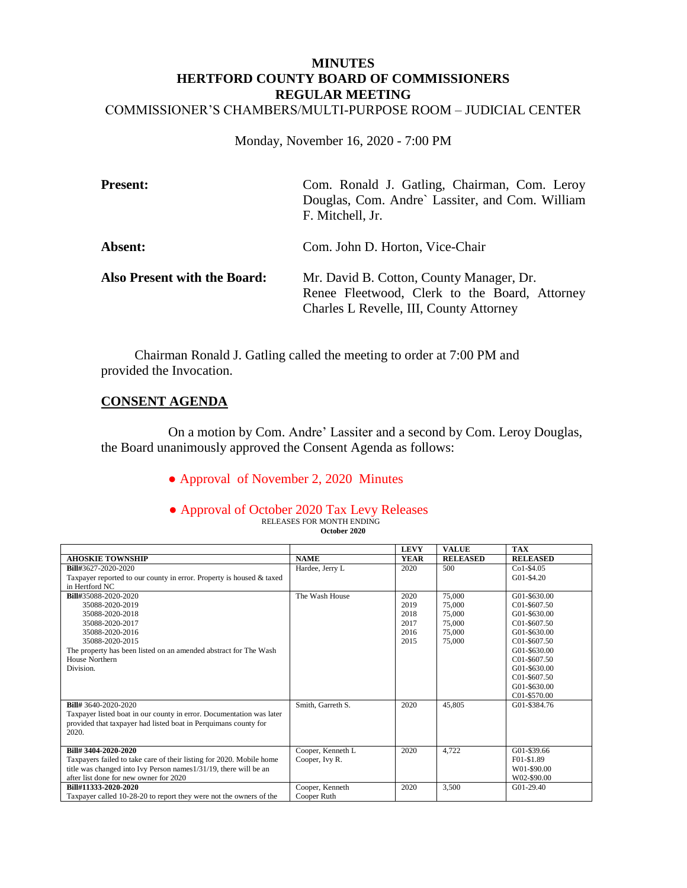#### **MINUTES HERTFORD COUNTY BOARD OF COMMISSIONERS REGULAR MEETING** COMMISSIONER'S CHAMBERS/MULTI-PURPOSE ROOM – JUDICIAL CENTER

Monday, November 16, 2020 - 7:00 PM

| <b>Present:</b>                     | Com. Ronald J. Gatling, Chairman, Com. Leroy<br>Douglas, Com. Andre` Lassiter, and Com. William<br>F. Mitchell, Jr.                  |
|-------------------------------------|--------------------------------------------------------------------------------------------------------------------------------------|
| Absent:                             | Com. John D. Horton, Vice-Chair                                                                                                      |
| <b>Also Present with the Board:</b> | Mr. David B. Cotton, County Manager, Dr.<br>Renee Fleetwood, Clerk to the Board, Attorney<br>Charles L Revelle, III, County Attorney |

 Chairman Ronald J. Gatling called the meeting to order at 7:00 PM and provided the Invocation.

# **CONSENT AGENDA**

 On a motion by Com. Andre' Lassiter and a second by Com. Leroy Douglas, the Board unanimously approved the Consent Agenda as follows:

● Approval of November 2, 2020 Minutes

#### ● Approval of October 2020 Tax Levy Releases RELEASES FOR MONTH ENDING **October 2020**

|                                                                      |                   | <b>LEVY</b> | <b>VALUE</b>    | <b>TAX</b>      |
|----------------------------------------------------------------------|-------------------|-------------|-----------------|-----------------|
| <b>AHOSKIE TOWNSHIP</b>                                              | <b>NAME</b>       | <b>YEAR</b> | <b>RELEASED</b> | <b>RELEASED</b> |
| Bill#3627-2020-2020                                                  | Hardee, Jerry L   | 2020        | 500             | $Co1-$4.05$     |
| Taxpayer reported to our county in error. Property is housed & taxed |                   |             |                 | G01-\$4.20      |
| in Hertford NC                                                       |                   |             |                 |                 |
| Bill#35088-2020-2020                                                 | The Wash House    | 2020        | 75,000          | G01-\$630.00    |
| 35088-2020-2019                                                      |                   | 2019        | 75,000          | C01-\$607.50    |
| 35088-2020-2018                                                      |                   | 2018        | 75,000          | G01-\$630.00    |
| 35088-2020-2017                                                      |                   | 2017        | 75,000          | C01-\$607.50    |
| 35088-2020-2016                                                      |                   | 2016        | 75,000          | G01-\$630.00    |
| 35088-2020-2015                                                      |                   | 2015        | 75,000          | $C01 - $607.50$ |
| The property has been listed on an amended abstract for The Wash     |                   |             |                 | G01-\$630.00    |
| House Northern                                                       |                   |             |                 | C01-\$607.50    |
| Division.                                                            |                   |             |                 | G01-\$630.00    |
|                                                                      |                   |             |                 | C01-\$607.50    |
|                                                                      |                   |             |                 | G01-\$630.00    |
|                                                                      |                   |             |                 | C01-\$570.00    |
| <b>Bill#</b> 3640-2020-2020                                          | Smith, Garreth S. | 2020        | 45,805          | G01-\$384.76    |
| Taxpayer listed boat in our county in error. Documentation was later |                   |             |                 |                 |
| provided that taxpayer had listed boat in Perquimans county for      |                   |             |                 |                 |
| 2020.                                                                |                   |             |                 |                 |
|                                                                      |                   |             |                 |                 |
| Bill# 3404-2020-2020                                                 | Cooper, Kenneth L | 2020        | 4,722           | G01-\$39.66     |
| Taxpayers failed to take care of their listing for 2020. Mobile home | Cooper, Ivy R.    |             |                 | F01-\$1.89      |
| title was changed into Ivy Person names 1/31/19, there will be an    |                   |             |                 | W01-\$90.00     |
| after list done for new owner for 2020                               |                   |             |                 | W02-\$90.00     |
| Bill#11333-2020-2020                                                 | Cooper, Kenneth   | 2020        | 3,500           | G01-29.40       |
| Taxpayer called 10-28-20 to report they were not the owners of the   | Cooper Ruth       |             |                 |                 |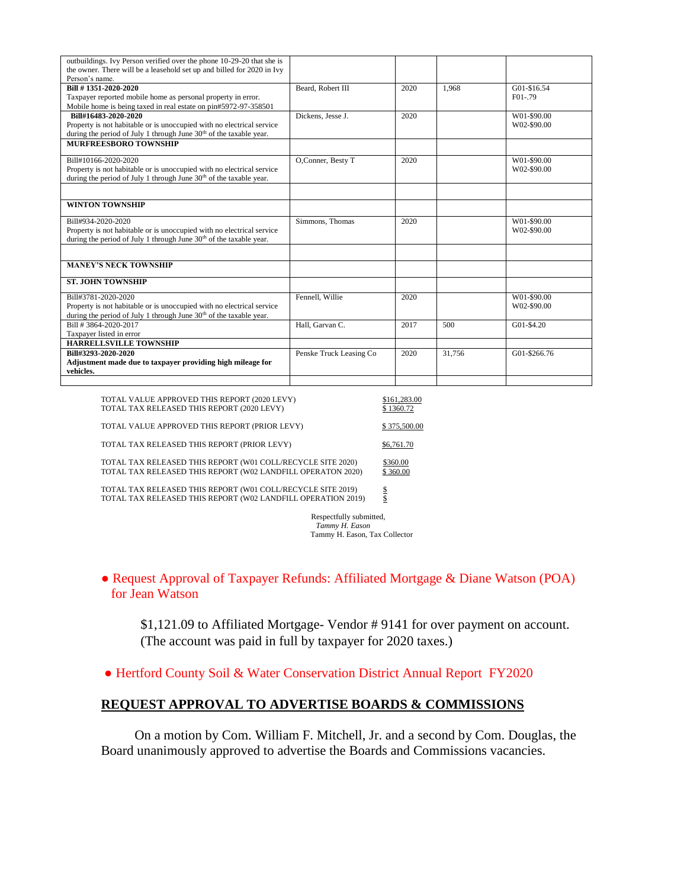| outbuildings. Ivy Person verified over the phone 10-29-20 that she is<br>the owner. There will be a leasehold set up and billed for 2020 in Ivy |                         |      |        |              |
|-------------------------------------------------------------------------------------------------------------------------------------------------|-------------------------|------|--------|--------------|
| Person's name.                                                                                                                                  |                         |      |        |              |
| Bill #1351-2020-2020                                                                                                                            | Beard, Robert III       | 2020 | 1.968  | G01-\$16.54  |
| Taxpayer reported mobile home as personal property in error.                                                                                    |                         |      |        | $F01-.79$    |
| Mobile home is being taxed in real estate on pin#5972-97-358501                                                                                 |                         |      |        |              |
| Bill#16483-2020-2020                                                                                                                            | Dickens, Jesse J.       | 2020 |        | W01-\$90.00  |
| Property is not habitable or is unoccupied with no electrical service                                                                           |                         |      |        | W02-\$90.00  |
| during the period of July 1 through June 30 <sup>th</sup> of the taxable year.                                                                  |                         |      |        |              |
| MURFREESBORO TOWNSHIP                                                                                                                           |                         |      |        |              |
|                                                                                                                                                 |                         |      |        |              |
| Bill#10166-2020-2020                                                                                                                            | O,Conner, Besty T       | 2020 |        | W01-\$90.00  |
| Property is not habitable or is unoccupied with no electrical service                                                                           |                         |      |        | W02-\$90.00  |
| during the period of July 1 through June 30 <sup>th</sup> of the taxable year.                                                                  |                         |      |        |              |
|                                                                                                                                                 |                         |      |        |              |
| <b>WINTON TOWNSHIP</b>                                                                                                                          |                         |      |        |              |
| Bill#934-2020-2020                                                                                                                              | Simmons, Thomas         | 2020 |        | W01-\$90.00  |
| Property is not habitable or is unoccupied with no electrical service                                                                           |                         |      |        | W02-\$90.00  |
| during the period of July 1 through June 30 <sup>th</sup> of the taxable year.                                                                  |                         |      |        |              |
|                                                                                                                                                 |                         |      |        |              |
|                                                                                                                                                 |                         |      |        |              |
| <b>MANEY'S NECK TOWNSHIP</b>                                                                                                                    |                         |      |        |              |
| <b>ST. JOHN TOWNSHIP</b>                                                                                                                        |                         |      |        |              |
| Bill#3781-2020-2020                                                                                                                             | Fennell, Willie         | 2020 |        | W01-\$90.00  |
| Property is not habitable or is unoccupied with no electrical service                                                                           |                         |      |        | W02-\$90.00  |
| during the period of July 1 through June 30 <sup>th</sup> of the taxable year.                                                                  |                         |      |        |              |
| Bill #3864-2020-2017                                                                                                                            | Hall, Garvan C.         | 2017 | 500    | G01-\$4.20   |
| Taxpayer listed in error                                                                                                                        |                         |      |        |              |
| <b>HARRELLSVILLE TOWNSHIP</b>                                                                                                                   |                         |      |        |              |
| Bill#3293-2020-2020                                                                                                                             | Penske Truck Leasing Co | 2020 | 31,756 | G01-\$266.76 |
| Adjustment made due to taxpayer providing high mileage for                                                                                      |                         |      |        |              |
| vehicles.                                                                                                                                       |                         |      |        |              |
|                                                                                                                                                 |                         |      |        |              |
|                                                                                                                                                 |                         |      |        |              |

| TOTAL VALUE APPROVED THIS REPORT (2020 LEVY)<br>TOTAL TAX RELEASED THIS REPORT (2020 LEVY)                                  | \$161,283.00<br>\$1360.72 |
|-----------------------------------------------------------------------------------------------------------------------------|---------------------------|
| TOTAL VALUE APPROVED THIS REPORT (PRIOR LEVY)                                                                               | \$375,500.00              |
| TOTAL TAX RELEASED THIS REPORT (PRIOR LEVY)                                                                                 | \$6,761.70                |
| TOTAL TAX RELEASED THIS REPORT (W01 COLL/RECYCLE SITE 2020)<br>TOTAL TAX RELEASED THIS REPORT (W02 LANDFILL OPERATON 2020)  | \$360.00<br>\$360.00      |
| TOTAL TAX RELEASED THIS REPORT (W01 COLL/RECYCLE SITE 2019)<br>TOTAL TAX RELEASED THIS REPORT (W02 LANDFILL OPERATION 2019) | s<br>\$                   |

 Respectfully submitted, *Tammy H. Eason* Tammy H. Eason, Tax Collector

● Request Approval of Taxpayer Refunds: Affiliated Mortgage & Diane Watson (POA) for Jean Watson

\$1,121.09 to Affiliated Mortgage- Vendor # 9141 for over payment on account. (The account was paid in full by taxpayer for 2020 taxes.)

● Hertford County Soil & Water Conservation District Annual Report FY2020

# **REQUEST APPROVAL TO ADVERTISE BOARDS & COMMISSIONS**

 On a motion by Com. William F. Mitchell, Jr. and a second by Com. Douglas, the Board unanimously approved to advertise the Boards and Commissions vacancies.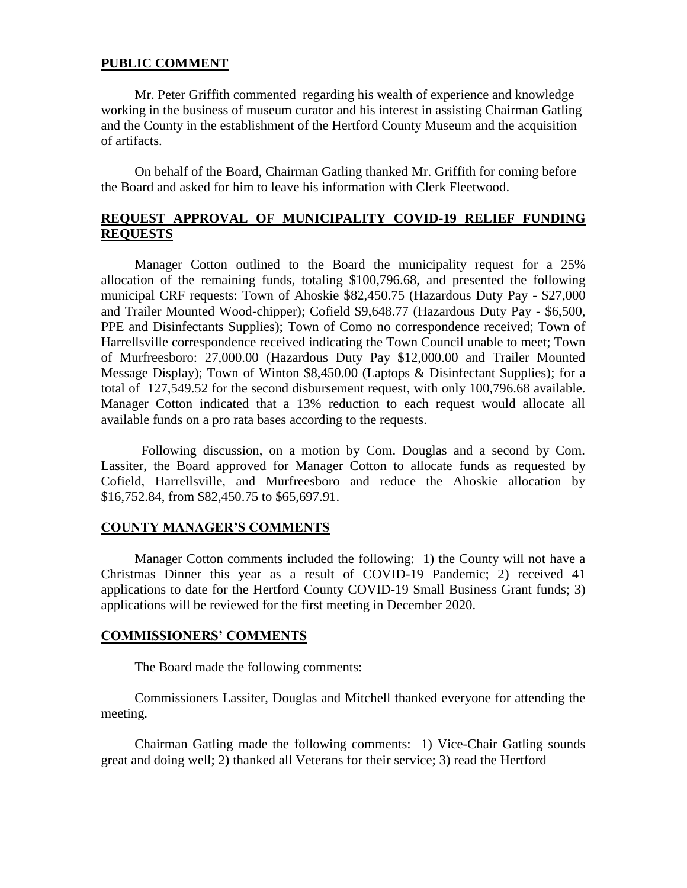#### **PUBLIC COMMENT**

 Mr. Peter Griffith commented regarding his wealth of experience and knowledge working in the business of museum curator and his interest in assisting Chairman Gatling and the County in the establishment of the Hertford County Museum and the acquisition of artifacts.

 On behalf of the Board, Chairman Gatling thanked Mr. Griffith for coming before the Board and asked for him to leave his information with Clerk Fleetwood.

## **REQUEST APPROVAL OF MUNICIPALITY COVID-19 RELIEF FUNDING REQUESTS**

 Manager Cotton outlined to the Board the municipality request for a 25% allocation of the remaining funds, totaling \$100,796.68, and presented the following municipal CRF requests: Town of Ahoskie \$82,450.75 (Hazardous Duty Pay - \$27,000 and Trailer Mounted Wood-chipper); Cofield \$9,648.77 (Hazardous Duty Pay - \$6,500, PPE and Disinfectants Supplies); Town of Como no correspondence received; Town of Harrellsville correspondence received indicating the Town Council unable to meet; Town of Murfreesboro: 27,000.00 (Hazardous Duty Pay \$12,000.00 and Trailer Mounted Message Display); Town of Winton \$8,450.00 (Laptops & Disinfectant Supplies); for a total of 127,549.52 for the second disbursement request, with only 100,796.68 available. Manager Cotton indicated that a 13% reduction to each request would allocate all available funds on a pro rata bases according to the requests.

 Following discussion, on a motion by Com. Douglas and a second by Com. Lassiter, the Board approved for Manager Cotton to allocate funds as requested by Cofield, Harrellsville, and Murfreesboro and reduce the Ahoskie allocation by \$16,752.84, from \$82,450.75 to \$65,697.91.

#### **COUNTY MANAGER'S COMMENTS**

 Manager Cotton comments included the following: 1) the County will not have a Christmas Dinner this year as a result of COVID-19 Pandemic; 2) received 41 applications to date for the Hertford County COVID-19 Small Business Grant funds; 3) applications will be reviewed for the first meeting in December 2020.

#### **COMMISSIONERS' COMMENTS**

The Board made the following comments:

 Commissioners Lassiter, Douglas and Mitchell thanked everyone for attending the meeting.

 Chairman Gatling made the following comments: 1) Vice-Chair Gatling sounds great and doing well; 2) thanked all Veterans for their service; 3) read the Hertford